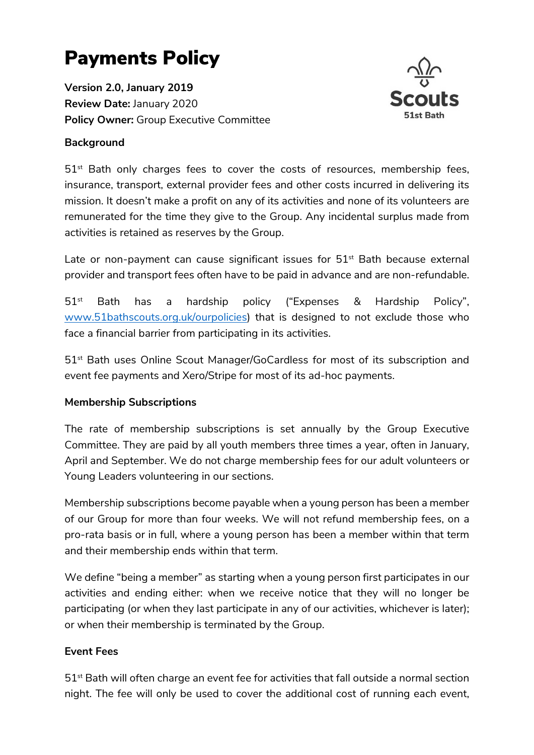# Payments Policy

Version 2.0, January 2019 Review Date: January 2020 Policy Owner: Group Executive Committee

## Background



 $51<sup>st</sup>$  Bath only charges fees to cover the costs of resources, membership fees, insurance, transport, external provider fees and other costs incurred in delivering its mission. It doesn't make a profit on any of its activities and none of its volunteers are remunerated for the time they give to the Group. Any incidental surplus made from activities is retained as reserves by the Group.

Late or non-payment can cause significant issues for  $51<sup>st</sup>$  Bath because external provider and transport fees often have to be paid in advance and are non-refundable.

51st Bath has a hardship policy ("Expenses & Hardship Policy", www.51bathscouts.org.uk/ourpolicies) that is designed to not exclude those who face a financial barrier from participating in its activities.

51st Bath uses Online Scout Manager/GoCardless for most of its subscription and event fee payments and Xero/Stripe for most of its ad-hoc payments.

#### Membership Subscriptions

The rate of membership subscriptions is set annually by the Group Executive Committee. They are paid by all youth members three times a year, often in January, April and September. We do not charge membership fees for our adult volunteers or Young Leaders volunteering in our sections.

Membership subscriptions become payable when a young person has been a member of our Group for more than four weeks. We will not refund membership fees, on a pro-rata basis or in full, where a young person has been a member within that term and their membership ends within that term.

We define "being a member" as starting when a young person first participates in our activities and ending either: when we receive notice that they will no longer be participating (or when they last participate in any of our activities, whichever is later); or when their membership is terminated by the Group.

#### Event Fees

 $51<sup>st</sup>$  Bath will often charge an event fee for activities that fall outside a normal section night. The fee will only be used to cover the additional cost of running each event,